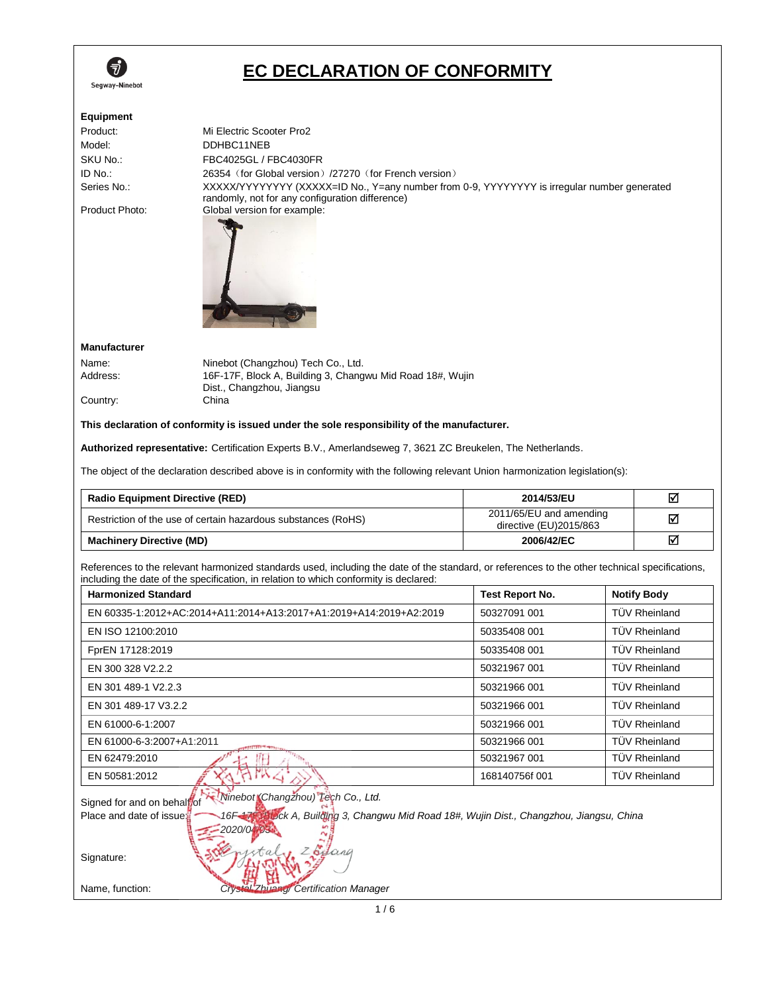

# **EC DECLARATION OF CONFORMITY**

| <b>Equipment</b><br>Product:<br>Model:<br>SKU No.:<br>ID No.:<br>Series No.:<br>Product Photo: | Mi Electric Scooter Pro2<br>DDHBC11NEB<br>FBC4025GL / FBC4030FR<br>26354 (for Global version) /27270 (for French version)<br>XXXXX/YYYYYYYY (XXXXX=ID No., Y=any number from 0-9, YYYYYYYY is irregular number generated<br>randomly, not for any configuration difference)<br>Global version for example: |                                                   |                      |
|------------------------------------------------------------------------------------------------|------------------------------------------------------------------------------------------------------------------------------------------------------------------------------------------------------------------------------------------------------------------------------------------------------------|---------------------------------------------------|----------------------|
| <b>Manufacturer</b>                                                                            |                                                                                                                                                                                                                                                                                                            |                                                   |                      |
| Name:                                                                                          | Ninebot (Changzhou) Tech Co., Ltd.                                                                                                                                                                                                                                                                         |                                                   |                      |
| Address:                                                                                       | 16F-17F, Block A, Building 3, Changwu Mid Road 18#, Wujin                                                                                                                                                                                                                                                  |                                                   |                      |
| Country:                                                                                       | Dist., Changzhou, Jiangsu<br>China                                                                                                                                                                                                                                                                         |                                                   |                      |
|                                                                                                |                                                                                                                                                                                                                                                                                                            |                                                   |                      |
|                                                                                                | This declaration of conformity is issued under the sole responsibility of the manufacturer.                                                                                                                                                                                                                |                                                   |                      |
|                                                                                                | Authorized representative: Certification Experts B.V., Amerlandseweg 7, 3621 ZC Breukelen, The Netherlands.                                                                                                                                                                                                |                                                   |                      |
|                                                                                                | The object of the declaration described above is in conformity with the following relevant Union harmonization legislation(s):                                                                                                                                                                             |                                                   |                      |
| <b>Radio Equipment Directive (RED)</b>                                                         |                                                                                                                                                                                                                                                                                                            | 2014/53/EU                                        | ☑                    |
|                                                                                                | Restriction of the use of certain hazardous substances (RoHS)                                                                                                                                                                                                                                              | 2011/65/EU and amending<br>directive (EU)2015/863 | ☑                    |
| <b>Machinery Directive (MD)</b>                                                                |                                                                                                                                                                                                                                                                                                            | 2006/42/EC                                        | 冈                    |
|                                                                                                | References to the relevant harmonized standards used, including the date of the standard, or references to the other technical specifications,<br>including the date of the specification, in relation to which conformity is declared:                                                                    |                                                   |                      |
| <b>Harmonized Standard</b>                                                                     |                                                                                                                                                                                                                                                                                                            | Test Report No.                                   | <b>Notify Body</b>   |
|                                                                                                | EN 60335-1:2012+AC:2014+A11:2014+A13:2017+A1:2019+A14:2019+A2:2019                                                                                                                                                                                                                                         | 50327091 001                                      | <b>TÜV Rheinland</b> |
| EN ISO 12100:2010                                                                              |                                                                                                                                                                                                                                                                                                            | 50335408 001                                      | <b>TÜV Rheinland</b> |
| FprEN 17128:2019                                                                               |                                                                                                                                                                                                                                                                                                            | 50335408 001                                      | <b>TUV Rheinland</b> |
| EN 300 328 V2.2.2                                                                              |                                                                                                                                                                                                                                                                                                            | 50321967 001                                      | TÜV Rheinland        |
| EN 301 489-1 V2.2.3                                                                            |                                                                                                                                                                                                                                                                                                            | 50321966 001                                      | TÜV Rheinland        |
| EN 301 489-17 V3.2.2                                                                           |                                                                                                                                                                                                                                                                                                            | 50321966 001                                      | TÜV Rheinland        |
| EN 61000-6-1:2007                                                                              |                                                                                                                                                                                                                                                                                                            | 50321966 001                                      | TÜV Rheinland        |
| EN 61000-6-3:2007+A1:2011                                                                      |                                                                                                                                                                                                                                                                                                            | 50321966 001                                      | TÜV Rheinland        |
| EN 62479:2010                                                                                  |                                                                                                                                                                                                                                                                                                            | 50321967 001                                      | TÜV Rheinland        |
| EN 50581:2012                                                                                  |                                                                                                                                                                                                                                                                                                            | 168140756f 001                                    | TÜV Rheinland        |
| Signed for and on behalpof<br>Place and date of issue:                                         | Ninebot Changzhou) Tech Co., Ltd.<br>16F-47F Block A, Building 3, Changwu Mid Road 18#, Wujin Dist., Changzhou, Jiangsu, China<br>$-2020/04/03$                                                                                                                                                            |                                                   |                      |

Signature:

Name, function: *Crystal Zhuang/ Certification Manager*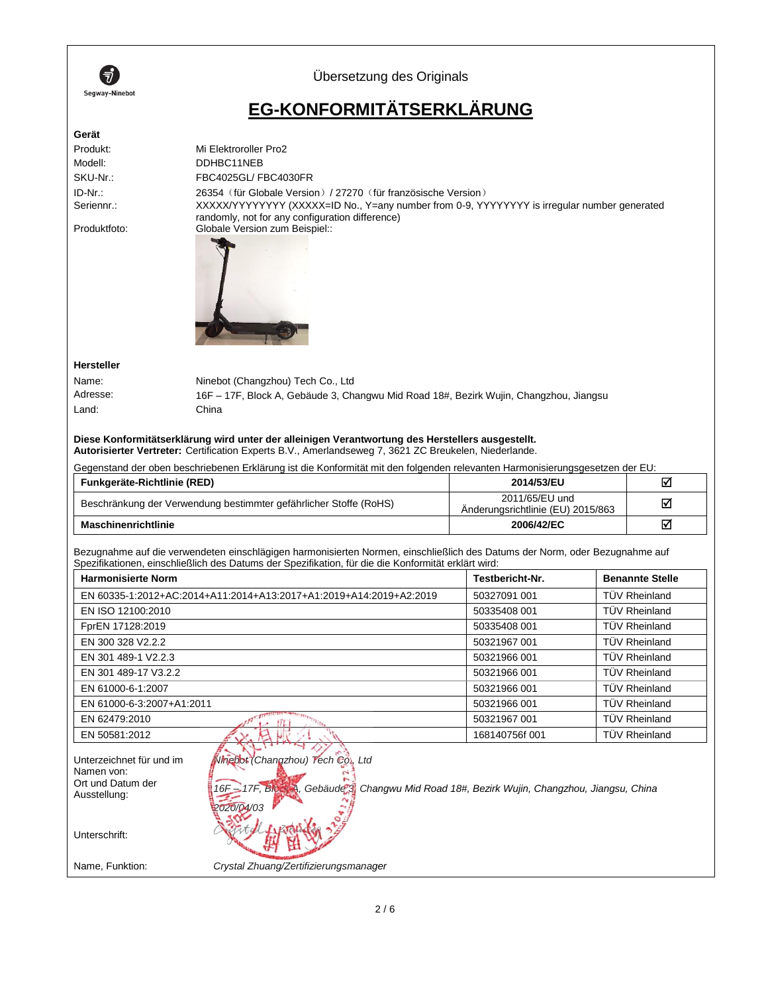

Übersetzung des Originals

# **EG-KONFORMITÄTSERKLÄRUNG**

#### **Gerät**

| Produkt:     | Mi Elektroroller Pro2                                                                                                                          |
|--------------|------------------------------------------------------------------------------------------------------------------------------------------------|
| Modell:      | DDHBC11NEB                                                                                                                                     |
| SKU-Nr.:     | FBC4025GL/FBC4030FR                                                                                                                            |
| ID-Nr.:      | 26354 (für Globale Version) / 27270 (für französische Version)                                                                                 |
| Seriennr.:   | XXXXX/YYYYYYYY (XXXXX=ID No., Y=any number from 0-9, YYYYYYYY is irregular number generated<br>randomly, not for any configuration difference) |
| Produktfoto: | Globale Version zum Beispiel::                                                                                                                 |
|              |                                                                                                                                                |
|              |                                                                                                                                                |

#### **Hersteller**

| Name:    | Ninebot (Changzhou) Tech Co., Ltd                                                     |
|----------|---------------------------------------------------------------------------------------|
| Adresse: | 16F – 17F, Block A, Gebäude 3, Changwu Mid Road 18#, Bezirk Wujin, Changzhou, Jiangsu |
| Land:    | China                                                                                 |

## **Diese Konformitätserklärung wird unter der alleinigen Verantwortung des Herstellers ausgestellt.**

 $\overline{\phantom{a}}$ 

**Autorisierter Vertreter:** Certification Experts B.V., Amerlandseweg 7, 3621 ZC Breukelen, Niederlande.

Gegenstand der oben beschriebenen Erklärung ist die Konformität mit den folgenden relevanten Harmonisierungsgesetzen der EU:

| Funkgeräte-Richtlinie (RED)                                       | 2014/53/EU                                          | ☑ |
|-------------------------------------------------------------------|-----------------------------------------------------|---|
| Beschränkung der Verwendung bestimmter gefährlicher Stoffe (RoHS) | 2011/65/EU und<br>Anderungsrichtlinie (EU) 2015/863 | ☑ |
| <b>Maschinenrichtlinie</b>                                        | 2006/42/EC                                          | ☑ |

Bezugnahme auf die verwendeten einschlägigen harmonisierten Normen, einschließlich des Datums der Norm, oder Bezugnahme auf Spezifikationen, einschließlich des Datums der Spezifikation, für die die Konformität erklärt wird:

| <b>Harmonisierte Norm</b>                                          | Testbericht-Nr. | <b>Benannte Stelle</b> |
|--------------------------------------------------------------------|-----------------|------------------------|
| EN 60335-1:2012+AC:2014+A11:2014+A13:2017+A1:2019+A14:2019+A2:2019 | 50327091 001    | <b>TÜV Rheinland</b>   |
| EN ISO 12100:2010                                                  | 50335408 001    | <b>TÜV Rheinland</b>   |
| FprEN 17128:2019                                                   | 50335408 001    | <b>TÜV Rheinland</b>   |
| EN 300 328 V2.2.2                                                  | 50321967 001    | <b>TÜV Rheinland</b>   |
| EN 301 489-1 V2.2.3                                                | 50321966 001    | <b>TÜV Rheinland</b>   |
| EN 301 489-17 V3.2.2                                               | 50321966 001    | <b>TÜV Rheinland</b>   |
| EN 61000-6-1:2007                                                  | 50321966 001    | <b>TÜV Rheinland</b>   |
| EN 61000-6-3:2007+A1:2011                                          | 50321966 001    | <b>TÜV Rheinland</b>   |
| EN 62479:2010                                                      | 50321967 001    | <b>TÜV Rheinland</b>   |
| EN 50581:2012                                                      | 168140756f 001  | <b>TÜV Rheinland</b>   |

| Unterzeichnet für und im<br>Namen von:<br>Ort und Datum der<br>Ausstellung: | Ninebot (Changzhou) Tech Co., Ltd<br>$16F - 17F$ , Bio<br>Gebäude & Changwu Mid Road 18#, Bezirk Wujin, Changzhou, Jiangsu, China<br>YА |
|-----------------------------------------------------------------------------|-----------------------------------------------------------------------------------------------------------------------------------------|
| Unterschrift:                                                               |                                                                                                                                         |
| Name, Funktion:                                                             | Crystal Zhuang/Zertifizierungsmanager                                                                                                   |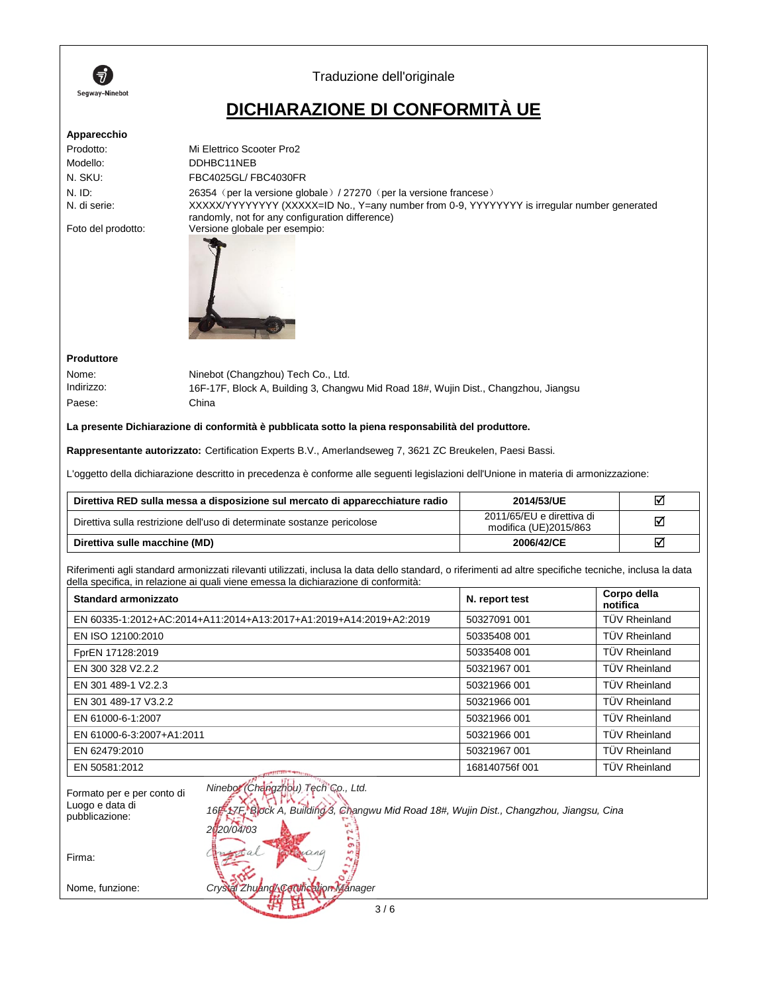

Traduzione dell'originale

## **DICHIARAZIONE DI CONFORMITÀ UE**

#### **Apparecchio**

| Mi Elettrico Scooter Pro2                                                                                                                      |
|------------------------------------------------------------------------------------------------------------------------------------------------|
| DDHBC11NEB                                                                                                                                     |
| FBC4025GL/FBC4030FR                                                                                                                            |
| 26354 (per la versione globale) / 27270 (per la versione francese)                                                                             |
| XXXXX/YYYYYYYY (XXXXX=ID No., Y=any number from 0-9, YYYYYYYY is irregular number generated<br>randomly, not for any configuration difference) |
| Versione globale per esempio:                                                                                                                  |
|                                                                                                                                                |



Nome: Ninebot (Changzhou) Tech Co., Ltd. Indirizzo: 16F-17F, Block A, Building 3, Changwu Mid Road 18#, Wujin Dist., Changzhou, Jiangsu Paese: China

#### **La presente Dichiarazione di conformità è pubblicata sotto la piena responsabilità del produttore.**

**Rappresentante autorizzato:** Certification Experts B.V., Amerlandseweg 7, 3621 ZC Breukelen, Paesi Bassi.

L'oggetto della dichiarazione descritto in precedenza è conforme alle seguenti legislazioni dell'Unione in materia di armonizzazione:

| Direttiva RED sulla messa a disposizione sul mercato di apparecchiature radio | 2014/53/UE                                         | ⊠ |
|-------------------------------------------------------------------------------|----------------------------------------------------|---|
| Direttiva sulla restrizione dell'uso di determinate sostanze pericolose       | 2011/65/EU e direttiva di<br>modifica (UE)2015/863 | ☑ |
| Direttiva sulle macchine (MD)                                                 | 2006/42/CE                                         | ☑ |

Riferimenti agli standard armonizzati rilevanti utilizzati, inclusa la data dello standard, o riferimenti ad altre specifiche tecniche, inclusa la data della specifica, in relazione ai quali viene emessa la dichiarazione di conformità:

| Standard armonizzato                                               | N. report test | Corpo della<br>notifica |
|--------------------------------------------------------------------|----------------|-------------------------|
| EN 60335-1:2012+AC:2014+A11:2014+A13:2017+A1:2019+A14:2019+A2:2019 | 50327091 001   | <b>TÜV Rheinland</b>    |
| EN ISO 12100:2010                                                  | 50335408 001   | <b>TÜV Rheinland</b>    |
| FprEN 17128:2019                                                   | 50335408 001   | <b>TÜV Rheinland</b>    |
| EN 300 328 V2.2.2                                                  | 50321967 001   | <b>TÜV Rheinland</b>    |
| EN 301 489-1 V2.2.3                                                | 50321966 001   | <b>TÜV Rheinland</b>    |
| EN 301 489-17 V3.2.2                                               | 50321966 001   | <b>TÜV Rheinland</b>    |
| EN 61000-6-1:2007                                                  | 50321966 001   | <b>TÜV Rheinland</b>    |
| EN 61000-6-3:2007+A1:2011                                          | 50321966 001   | <b>TÜV Rheinland</b>    |
| EN 62479:2010                                                      | 50321967 001   | <b>TÜV Rheinland</b>    |
| EN 50581:2012<br><b>CONTRACTOR</b> THE STATE                       | 168140756f 001 | <b>TÜV Rheinland</b>    |

| Formato per e per conto di<br>Luogo e data di<br>pubblicazione: | Ninebor (Changzhou) Tech Co., Ltd.<br>16F 17E, Block A, Building 3, Changwu Mid Road 18#, Wujin Dist., Changzhou, Jiangsu, Cina<br>2020/04/03 |
|-----------------------------------------------------------------|-----------------------------------------------------------------------------------------------------------------------------------------------|
| Firma:                                                          | cana                                                                                                                                          |
| Nome, funzione:                                                 | Crystal ZhuangACerthication Manager                                                                                                           |
|                                                                 | 3/6                                                                                                                                           |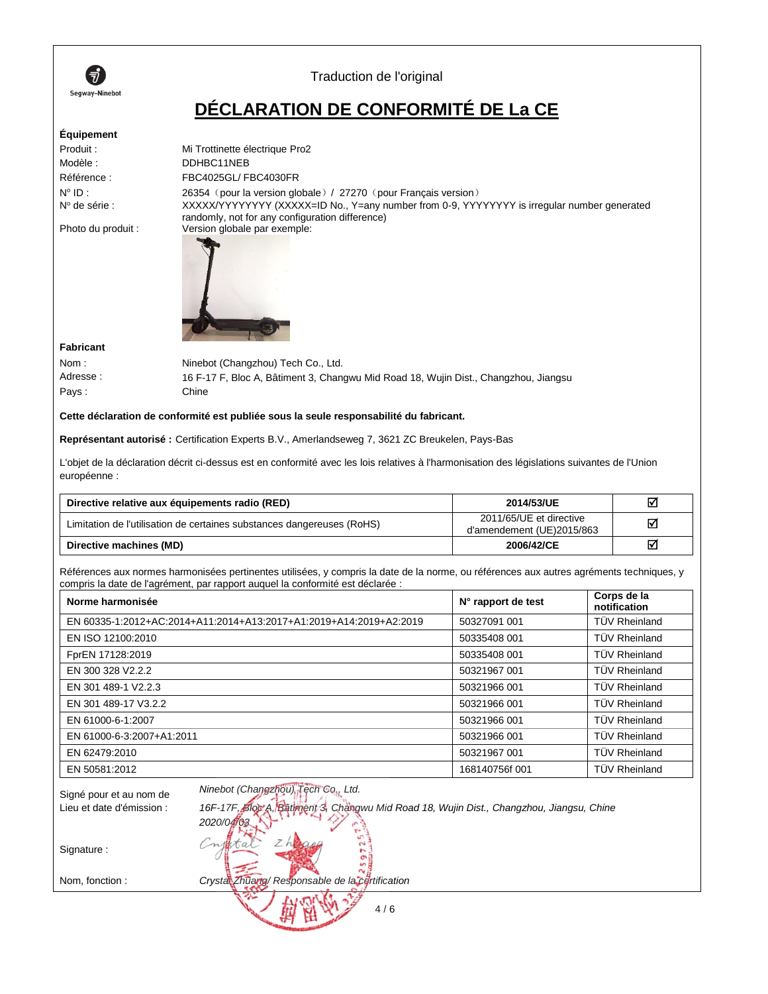

### Traduction de l'original

## **DÉCLARATION DE CONFORMITÉ DE La CE**

### **Équipement**

| Produit:               | Mi Trottinette électrique Pro2                                                                                                                 |
|------------------------|------------------------------------------------------------------------------------------------------------------------------------------------|
| Modèle:                | DDHBC11NEB                                                                                                                                     |
| Référence :            | FBC4025GL/FBC4030FR                                                                                                                            |
| $N^{\circ}$ ID :       | 26354 (pour la version globale) / 27270 (pour Français version)                                                                                |
| $N^{\circ}$ de série : | XXXXX/YYYYYYYY (XXXXX=ID No., Y=any number from 0-9, YYYYYYYY is irregular number generated<br>randomly, not for any configuration difference) |
| Photo du produit :     | Version globale par exemple:                                                                                                                   |



#### **Fabricant**

Nom : Ninebot (Changzhou) Tech Co., Ltd. Adresse : 16 F-17 F, Bloc A, Bâtiment 3, Changwu Mid Road 18, Wujin Dist., Changzhou, Jiangsu Pays : Chine

#### **Cette déclaration de conformité est publiée sous la seule responsabilité du fabricant.**

**Représentant autorisé:** Certification Experts B.V., Amerlandseweg 7, 3621 ZC Breukelen, Pays-Bas

L'objet de la déclaration décrit ci-dessus est en conformité avec les lois relatives à l'harmonisation des législations suivantes de l'Union européenne :

| Directive relative aux équipements radio (RED)                         | 2014/53/UE                                           | ☑ |
|------------------------------------------------------------------------|------------------------------------------------------|---|
| Limitation de l'utilisation de certaines substances dangereuses (RoHS) | 2011/65/UE et directive<br>d'amendement (UE)2015/863 | ⊠ |
| Directive machines (MD)                                                | 2006/42/CE                                           | ☑ |

Références aux normes harmonisées pertinentes utilisées, y compris la date de la norme, ou références aux autres agréments techniques, y compris la date de l'agrément, par rapport auquel la conformité est déclarée :

| Norme harmonisée                                                   | N° rapport de test | Corps de la<br>notification |
|--------------------------------------------------------------------|--------------------|-----------------------------|
| EN 60335-1:2012+AC:2014+A11:2014+A13:2017+A1:2019+A14:2019+A2:2019 | 50327091 001       | <b>TÜV Rheinland</b>        |
| EN ISO 12100:2010                                                  | 50335408 001       | <b>TÜV Rheinland</b>        |
| FprEN 17128:2019                                                   | 50335408 001       | <b>TÜV Rheinland</b>        |
| EN 300 328 V2.2.2                                                  | 50321967 001       | <b>TÜV Rheinland</b>        |
| EN 301 489-1 V2.2.3                                                | 50321966 001       | <b>TÜV Rheinland</b>        |
| EN 301 489-17 V3.2.2                                               | 50321966 001       | <b>TÜV Rheinland</b>        |
| EN 61000-6-1:2007                                                  | 50321966 001       | <b>TÜV Rheinland</b>        |
| EN 61000-6-3:2007+A1:2011                                          | 50321966 001       | <b>TÜV Rheinland</b>        |
| EN 62479:2010                                                      | 50321967 001       | <b>TÜV Rheinland</b>        |
| EN 50581:2012                                                      | 168140756f 001     | <b>TÜV Rheinland</b>        |

Lieu et date d'émission : *16F-17F, Bloc A, Bâtiment 3, Changwu Mid Road 18, Wujin Dist., Changzhou, Jiangsu, Chine*

Signé pour et au nom de *Ninebot (Changzhou) Tech Co., Ltd.*

*2020/04/03*

Signature :

Nom, fonction : *Crystal Zhuang/ Responsable de la certification* 

4 / 6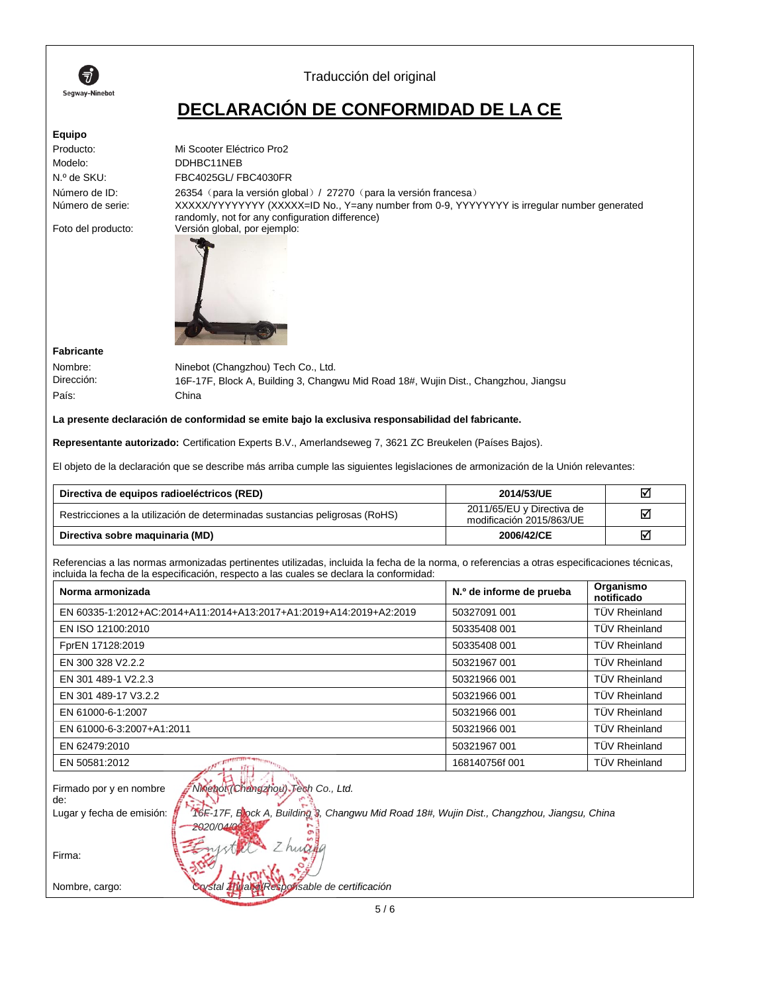

## Traducción del original

# **DECLARACIÓN DE CONFORMIDAD DE LA CE**

### **Equipo**

| <b>Lyurpo</b>      |                                                                                                                                                |
|--------------------|------------------------------------------------------------------------------------------------------------------------------------------------|
| Producto:          | Mi Scooter Eléctrico Pro2                                                                                                                      |
| Modelo:            | DDHBC11NEB                                                                                                                                     |
| N.º de SKU:        | FBC4025GL/FBC4030FR                                                                                                                            |
| Número de ID:      | 26354 (para la versión global) / 27270 (para la versión francesa)                                                                              |
| Número de serie:   | XXXXX/YYYYYYYY (XXXXX=ID No., Y=any number from 0-9, YYYYYYYY is irregular number generated<br>randomly, not for any configuration difference) |
| Foto del producto: | Versión global, por ejemplo:                                                                                                                   |



**Fabricante**

País: China

Nombre: Ninebot (Changzhou) Tech Co., Ltd. Dirección: 16F-17F, Block A, Building 3, Changwu Mid Road 18#, Wujin Dist., Changzhou, Jiangsu

**La presente declaración de conformidad se emite bajo la exclusiva responsabilidad del fabricante.** 

**Representante autorizado:** Certification Experts B.V., Amerlandseweg 7, 3621 ZC Breukelen (Países Bajos).

El objeto de la declaración que se describe más arriba cumple las siguientes legislaciones de armonización de la Unión relevantes:

| Directiva de equipos radioeléctricos (RED)                                  | 2014/53/UE                                            | ☑ |
|-----------------------------------------------------------------------------|-------------------------------------------------------|---|
| Restricciones a la utilización de determinadas sustancias peligrosas (RoHS) | 2011/65/EU y Directiva de<br>modificación 2015/863/UE | ☑ |
| Directiva sobre maguinaria (MD)                                             | 2006/42/CE                                            | ☑ |

Referencias a las normas armonizadas pertinentes utilizadas, incluida la fecha de la norma, o referencias a otras especificaciones técnicas, incluida la fecha de la especificación, respecto a las cuales se declara la conformidad:

| Norma armonizada                                                   | N.º de informe de prueba | Organismo<br>notificado |
|--------------------------------------------------------------------|--------------------------|-------------------------|
| EN 60335-1:2012+AC:2014+A11:2014+A13:2017+A1:2019+A14:2019+A2:2019 | 50327091 001             | <b>TÜV Rheinland</b>    |
| EN ISO 12100:2010                                                  | 50335408 001             | <b>TÜV Rheinland</b>    |
| FprEN 17128:2019                                                   | 50335408 001             | <b>TÜV Rheinland</b>    |
| EN 300 328 V2.2.2                                                  | 50321967 001             | <b>TÜV Rheinland</b>    |
| EN 301 489-1 V2.2.3                                                | 50321966 001             | <b>TÜV Rheinland</b>    |
| EN 301 489-17 V3.2.2                                               | 50321966 001             | <b>TÜV Rheinland</b>    |
| EN 61000-6-1:2007                                                  | 50321966 001             | <b>TÜV Rheinland</b>    |
| EN 61000-6-3:2007+A1:2011                                          | 50321966 001             | <b>TÜV Rheinland</b>    |
| EN 62479:2010                                                      | 50321967 001             | <b>TÜV Rheinland</b>    |
| EN 50581:2012<br>175                                               | 168140756f 001           | <b>TÜV Rheinland</b>    |
|                                                                    |                          |                         |

| Firmado por y en nombre   | Ninebox (Ohangzhou) Tech Co., Ltd.                                                         |
|---------------------------|--------------------------------------------------------------------------------------------|
| de:                       |                                                                                            |
| Lugar y fecha de emisión: | ToF-17F, Elock A, Building 8, Changwu Mid Road 18#, Wujin Dist., Changzhou, Jiangsu, China |
|                           | $-2020/04/06$                                                                              |
|                           |                                                                                            |
| Firma:                    |                                                                                            |
|                           |                                                                                            |
| Nombre, cargo:            | Coystal Zhuang Responsable de certificación                                                |